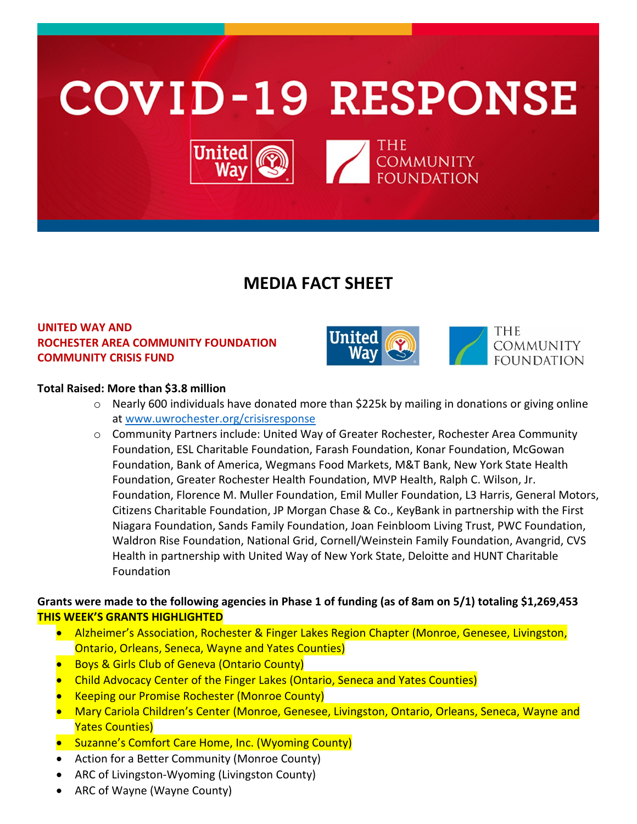

# **MEDIA FACT SHEET**

# **UNITED WAY AND ROCHESTER AREA COMMUNITY FOUNDATION COMMUNITY CRISIS FUND**





#### **Total Raised: More than \$3.8 million**

- $\circ$  Nearly 600 individuals have donated more than \$225k by mailing in donations or giving online at [www.uwrochester.org/crisisresponse](http://www.uwrochester.org/crisisresponse)
- o Community Partners include: United Way of Greater Rochester, Rochester Area Community Foundation, ESL Charitable Foundation, Farash Foundation, Konar Foundation, McGowan Foundation, Bank of America, Wegmans Food Markets, M&T Bank, New York State Health Foundation, Greater Rochester Health Foundation, MVP Health, Ralph C. Wilson, Jr. Foundation, Florence M. Muller Foundation, Emil Muller Foundation, L3 Harris, General Motors, Citizens Charitable Foundation, JP Morgan Chase & Co., KeyBank in partnership with the First Niagara Foundation, Sands Family Foundation, Joan Feinbloom Living Trust, PWC Foundation, Waldron Rise Foundation, National Grid, Cornell/Weinstein Family Foundation, Avangrid, CVS Health in partnership with United Way of New York State, Deloitte and HUNT Charitable Foundation

## **Grants were made to the following agencies in Phase 1 of funding (as of 8am on 5/1) totaling \$1,269,453 THIS WEEK'S GRANTS HIGHLIGHTED**

- Alzheimer's Association, Rochester & Finger Lakes Region Chapter (Monroe, Genesee, Livingston, Ontario, Orleans, Seneca, Wayne and Yates Counties)
- **Boys & Girls Club of Geneva (Ontario County)**
- Child Advocacy Center of the Finger Lakes (Ontario, Seneca and Yates Counties)
- Keeping our Promise Rochester (Monroe County)
- Mary Cariola Children's Center (Monroe, Genesee, Livingston, Ontario, Orleans, Seneca, Wayne and Yates Counties)
- Suzanne's Comfort Care Home, Inc. (Wyoming County)
- Action for a Better Community (Monroe County)
- ARC of Livingston-Wyoming (Livingston County)
- ARC of Wayne (Wayne County)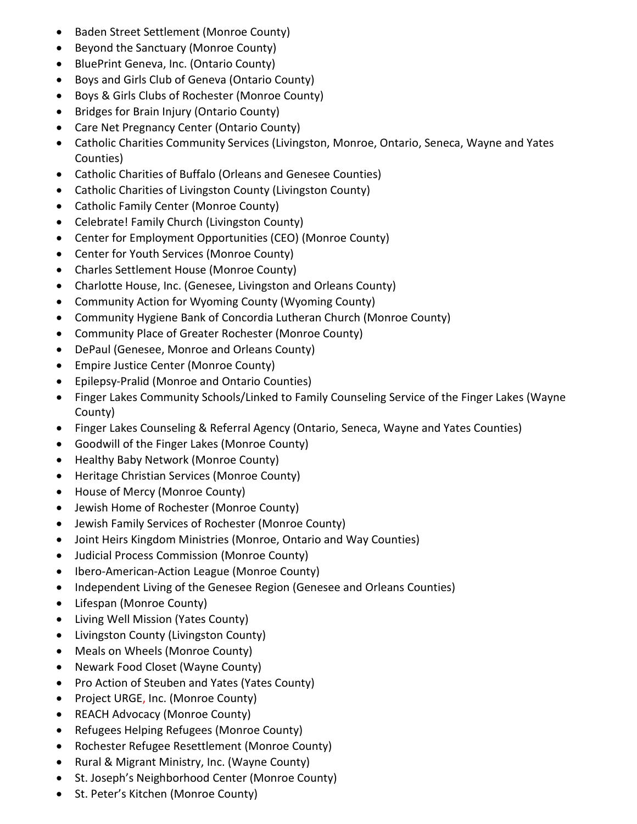- Baden Street Settlement (Monroe County)
- Beyond the Sanctuary (Monroe County)
- BluePrint Geneva, Inc. (Ontario County)
- Boys and Girls Club of Geneva (Ontario County)
- Boys & Girls Clubs of Rochester (Monroe County)
- Bridges for Brain Injury (Ontario County)
- Care Net Pregnancy Center (Ontario County)
- Catholic Charities Community Services (Livingston, Monroe, Ontario, Seneca, Wayne and Yates Counties)
- Catholic Charities of Buffalo (Orleans and Genesee Counties)
- Catholic Charities of Livingston County (Livingston County)
- Catholic Family Center (Monroe County)
- Celebrate! Family Church (Livingston County)
- Center for Employment Opportunities (CEO) (Monroe County)
- Center for Youth Services (Monroe County)
- Charles Settlement House (Monroe County)
- Charlotte House, Inc. (Genesee, Livingston and Orleans County)
- Community Action for Wyoming County (Wyoming County)
- Community Hygiene Bank of Concordia Lutheran Church (Monroe County)
- Community Place of Greater Rochester (Monroe County)
- DePaul (Genesee, Monroe and Orleans County)
- Empire Justice Center (Monroe County)
- Epilepsy-Pralid (Monroe and Ontario Counties)
- Finger Lakes Community Schools/Linked to Family Counseling Service of the Finger Lakes (Wayne County)
- Finger Lakes Counseling & Referral Agency (Ontario, Seneca, Wayne and Yates Counties)
- Goodwill of the Finger Lakes (Monroe County)
- Healthy Baby Network (Monroe County)
- Heritage Christian Services (Monroe County)
- House of Mercy (Monroe County)
- Jewish Home of Rochester (Monroe County)
- Jewish Family Services of Rochester (Monroe County)
- Joint Heirs Kingdom Ministries (Monroe, Ontario and Way Counties)
- Judicial Process Commission (Monroe County)
- Ibero-American-Action League (Monroe County)
- Independent Living of the Genesee Region (Genesee and Orleans Counties)
- Lifespan (Monroe County)
- Living Well Mission (Yates County)
- Livingston County (Livingston County)
- Meals on Wheels (Monroe County)
- Newark Food Closet (Wayne County)
- Pro Action of Steuben and Yates (Yates County)
- Project URGE, Inc. (Monroe County)
- REACH Advocacy (Monroe County)
- Refugees Helping Refugees (Monroe County)
- Rochester Refugee Resettlement (Monroe County)
- Rural & Migrant Ministry, Inc. (Wayne County)
- St. Joseph's Neighborhood Center (Monroe County)
- St. Peter's Kitchen (Monroe County)